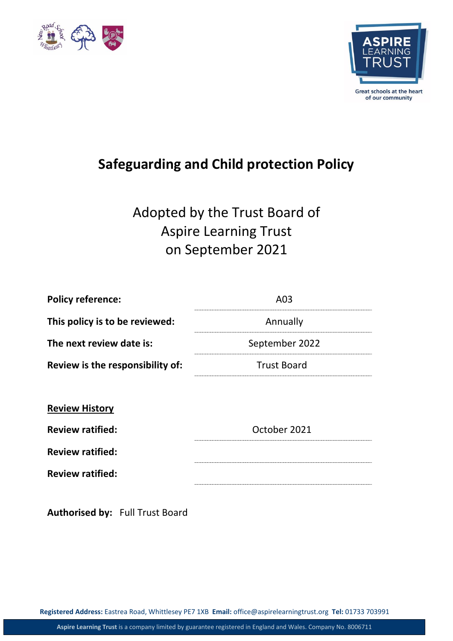



# **Safeguarding and Child protection Policy**

# Adopted by the Trust Board of Aspire Learning Trust on September 2021

| <b>Policy reference:</b>         | A03                |
|----------------------------------|--------------------|
| This policy is to be reviewed:   | Annually           |
| The next review date is:         | September 2022     |
| Review is the responsibility of: | <b>Trust Board</b> |
|                                  |                    |
| <b>Review History</b>            |                    |
| <b>Review ratified:</b>          | October 2021       |
| <b>Review ratified:</b>          |                    |
| <b>Review ratified:</b>          |                    |
|                                  |                    |

**Authorised by:** Full Trust Board

**Registered Address:** Eastrea Road, Whittlesey PE7 1XB **Email:** office@aspirelearningtrust.org **Tel:** 01733 703991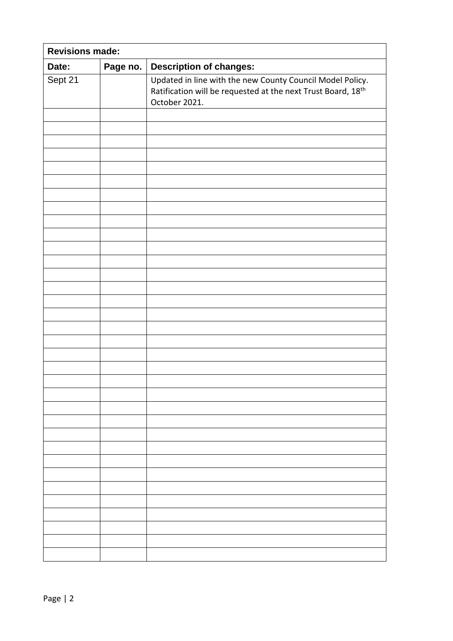| <b>Revisions made:</b> |          |                                                                                                                                            |
|------------------------|----------|--------------------------------------------------------------------------------------------------------------------------------------------|
| Date:                  | Page no. | <b>Description of changes:</b>                                                                                                             |
| Sept 21                |          | Updated in line with the new County Council Model Policy.<br>Ratification will be requested at the next Trust Board, 18th<br>October 2021. |
|                        |          |                                                                                                                                            |
|                        |          |                                                                                                                                            |
|                        |          |                                                                                                                                            |
|                        |          |                                                                                                                                            |
|                        |          |                                                                                                                                            |
|                        |          |                                                                                                                                            |
|                        |          |                                                                                                                                            |
|                        |          |                                                                                                                                            |
|                        |          |                                                                                                                                            |
|                        |          |                                                                                                                                            |
|                        |          |                                                                                                                                            |
|                        |          |                                                                                                                                            |
|                        |          |                                                                                                                                            |
|                        |          |                                                                                                                                            |
|                        |          |                                                                                                                                            |
|                        |          |                                                                                                                                            |
|                        |          |                                                                                                                                            |
|                        |          |                                                                                                                                            |
|                        |          |                                                                                                                                            |
|                        |          |                                                                                                                                            |
|                        |          |                                                                                                                                            |
|                        |          |                                                                                                                                            |
|                        |          |                                                                                                                                            |
|                        |          |                                                                                                                                            |
|                        |          |                                                                                                                                            |
|                        |          |                                                                                                                                            |
|                        |          |                                                                                                                                            |
|                        |          |                                                                                                                                            |
|                        |          |                                                                                                                                            |
|                        |          |                                                                                                                                            |
|                        |          |                                                                                                                                            |
|                        |          |                                                                                                                                            |
|                        |          |                                                                                                                                            |
|                        |          |                                                                                                                                            |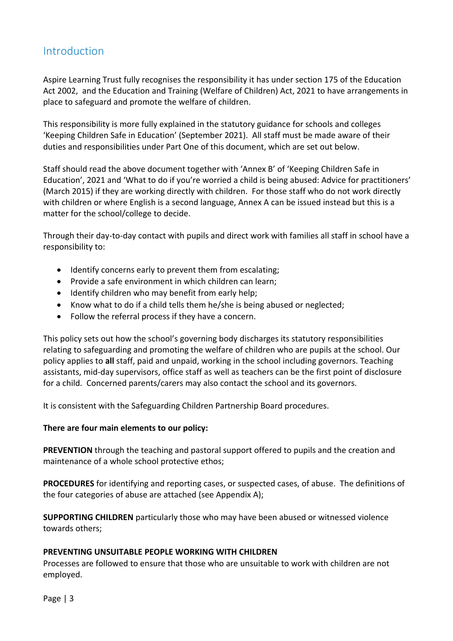### Introduction

Aspire Learning Trust fully recognises the responsibility it has under section 175 of the Education Act 2002, and the Education and Training (Welfare of Children) Act, 2021 to have arrangements in place to safeguard and promote the welfare of children.

This responsibility is more fully explained in the statutory guidance for schools and colleges 'Keeping Children Safe in Education' (September 2021). All staff must be made aware of their duties and responsibilities under Part One of this document, which are set out below.

Staff should read the above document together with 'Annex B' of 'Keeping Children Safe in Education', 2021 and 'What to do if you're worried a child is being abused: Advice for practitioners' (March 2015) if they are working directly with children. For those staff who do not work directly with children or where English is a second language, Annex A can be issued instead but this is a matter for the school/college to decide.

Through their day-to-day contact with pupils and direct work with families all staff in school have a responsibility to:

- Identify concerns early to prevent them from escalating;
- Provide a safe environment in which children can learn;
- Identify children who may benefit from early help;
- Know what to do if a child tells them he/she is being abused or neglected;
- Follow the referral process if they have a concern.

This policy sets out how the school's governing body discharges its statutory responsibilities relating to safeguarding and promoting the welfare of children who are pupils at the school. Our policy applies to **all** staff, paid and unpaid, working in the school including governors. Teaching assistants, mid-day supervisors, office staff as well as teachers can be the first point of disclosure for a child. Concerned parents/carers may also contact the school and its governors.

It is consistent with the Safeguarding Children Partnership Board procedures.

#### **There are four main elements to our policy:**

**PREVENTION** through the teaching and pastoral support offered to pupils and the creation and maintenance of a whole school protective ethos;

**PROCEDURES** for identifying and reporting cases, or suspected cases, of abuse. The definitions of the four categories of abuse are attached (see Appendix A);

**SUPPORTING CHILDREN** particularly those who may have been abused or witnessed violence towards others;

#### **PREVENTING UNSUITABLE PEOPLE WORKING WITH CHILDREN**

Processes are followed to ensure that those who are unsuitable to work with children are not employed.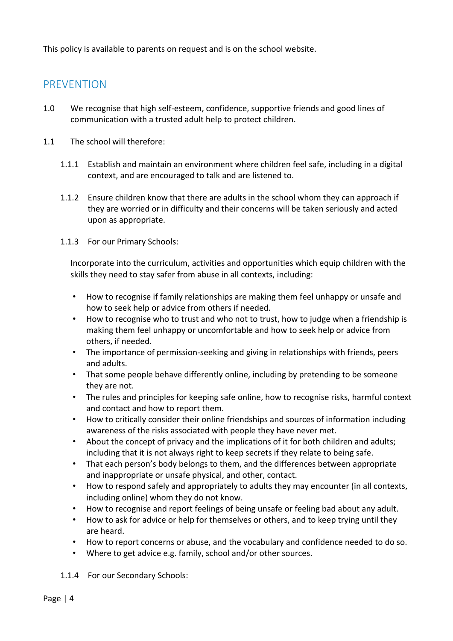This policy is available to parents on request and is on the school website.

### PREVENTION

- 1.0 We recognise that high self-esteem, confidence, supportive friends and good lines of communication with a trusted adult help to protect children.
- 1.1 The school will therefore:
	- 1.1.1 Establish and maintain an environment where children feel safe, including in a digital context, and are encouraged to talk and are listened to.
	- 1.1.2 Ensure children know that there are adults in the school whom they can approach if they are worried or in difficulty and their concerns will be taken seriously and acted upon as appropriate.
	- 1.1.3 For our Primary Schools:

Incorporate into the curriculum, activities and opportunities which equip children with the skills they need to stay safer from abuse in all contexts, including:

- How to recognise if family relationships are making them feel unhappy or unsafe and how to seek help or advice from others if needed.
- How to recognise who to trust and who not to trust, how to judge when a friendship is making them feel unhappy or uncomfortable and how to seek help or advice from others, if needed.
- The importance of permission-seeking and giving in relationships with friends, peers and adults.
- That some people behave differently online, including by pretending to be someone they are not.
- The rules and principles for keeping safe online, how to recognise risks, harmful context and contact and how to report them.
- How to critically consider their online friendships and sources of information including awareness of the risks associated with people they have never met.
- About the concept of privacy and the implications of it for both children and adults; including that it is not always right to keep secrets if they relate to being safe.
- That each person's body belongs to them, and the differences between appropriate and inappropriate or unsafe physical, and other, contact.
- How to respond safely and appropriately to adults they may encounter (in all contexts, including online) whom they do not know.
- How to recognise and report feelings of being unsafe or feeling bad about any adult.
- How to ask for advice or help for themselves or others, and to keep trying until they are heard.
- How to report concerns or abuse, and the vocabulary and confidence needed to do so.
- Where to get advice e.g. family, school and/or other sources.
- 1.1.4 For our Secondary Schools: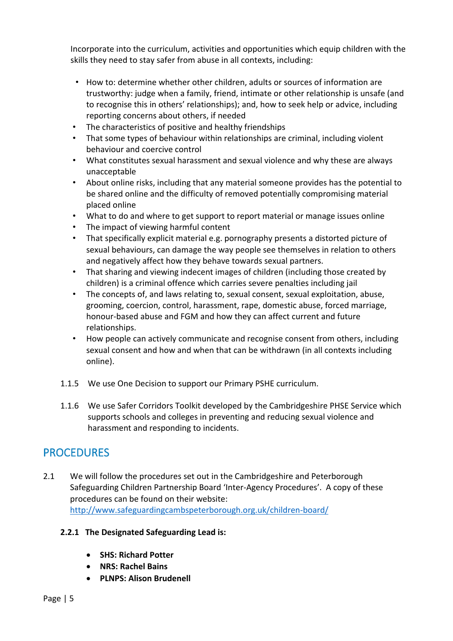Incorporate into the curriculum, activities and opportunities which equip children with the skills they need to stay safer from abuse in all contexts, including:

- How to: determine whether other children, adults or sources of information are trustworthy: judge when a family, friend, intimate or other relationship is unsafe (and to recognise this in others' relationships); and, how to seek help or advice, including reporting concerns about others, if needed
- The characteristics of positive and healthy friendships
- That some types of behaviour within relationships are criminal, including violent behaviour and coercive control
- What constitutes sexual harassment and sexual violence and why these are always unacceptable
- About online risks, including that any material someone provides has the potential to be shared online and the difficulty of removed potentially compromising material placed online
- What to do and where to get support to report material or manage issues online
- The impact of viewing harmful content
- That specifically explicit material e.g. pornography presents a distorted picture of sexual behaviours, can damage the way people see themselves in relation to others and negatively affect how they behave towards sexual partners.
- That sharing and viewing indecent images of children (including those created by children) is a criminal offence which carries severe penalties including jail
- The concepts of, and laws relating to, sexual consent, sexual exploitation, abuse, grooming, coercion, control, harassment, rape, domestic abuse, forced marriage, honour-based abuse and FGM and how they can affect current and future relationships.
- How people can actively communicate and recognise consent from others, including sexual consent and how and when that can be withdrawn (in all contexts including online).
- 1.1.5 We use One Decision to support our Primary PSHE curriculum.
- 1.1.6 We use Safer Corridors Toolkit developed by the Cambridgeshire PHSE Service which supports schools and colleges in preventing and reducing sexual violence and harassment and responding to incidents.

### **PROCEDURES**

2.1 We will follow the procedures set out in the Cambridgeshire and Peterborough Safeguarding Children Partnership Board 'Inter-Agency Procedures'. A copy of these procedures can be found on their website: <http://www.safeguardingcambspeterborough.org.uk/children-board/>

#### **2.2.1 The Designated Safeguarding Lead is:**

- **SHS: Richard Potter**
- **NRS: Rachel Bains**
- **PLNPS: Alison Brudenell**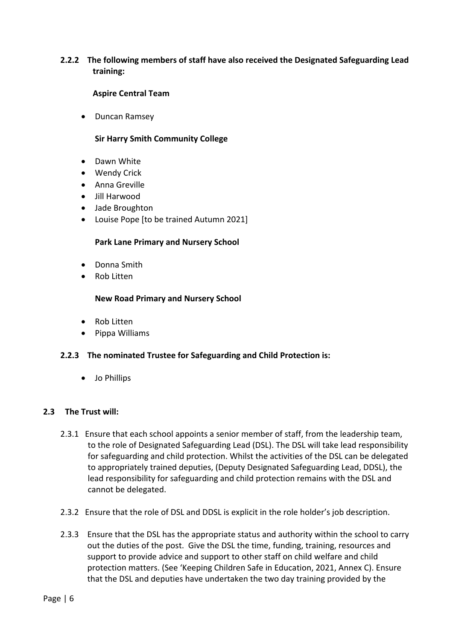#### **2.2.2 The following members of staff have also received the Designated Safeguarding Lead training:**

#### **Aspire Central Team**

• Duncan Ramsey

#### **Sir Harry Smith Community College**

- Dawn White
- Wendy Crick
- Anna Greville
- Jill Harwood
- Jade Broughton
- Louise Pope [to be trained Autumn 2021]

#### **Park Lane Primary and Nursery School**

- Donna Smith
- Rob Litten

#### **New Road Primary and Nursery School**

- Rob Litten
- Pippa Williams

#### **2.2.3 The nominated Trustee for Safeguarding and Child Protection is:**

• Jo Phillips

#### **2.3 The Trust will:**

- 2.3.1 Ensure that each school appoints a senior member of staff, from the leadership team, to the role of Designated Safeguarding Lead (DSL). The DSL will take lead responsibility for safeguarding and child protection. Whilst the activities of the DSL can be delegated to appropriately trained deputies, (Deputy Designated Safeguarding Lead, DDSL), the lead responsibility for safeguarding and child protection remains with the DSL and cannot be delegated.
- 2.3.2 Ensure that the role of DSL and DDSL is explicit in the role holder's job description.
- 2.3.3 Ensure that the DSL has the appropriate status and authority within the school to carry out the duties of the post. Give the DSL the time, funding, training, resources and support to provide advice and support to other staff on child welfare and child protection matters. (See 'Keeping Children Safe in Education, 2021, Annex C). Ensure that the DSL and deputies have undertaken the two day training provided by the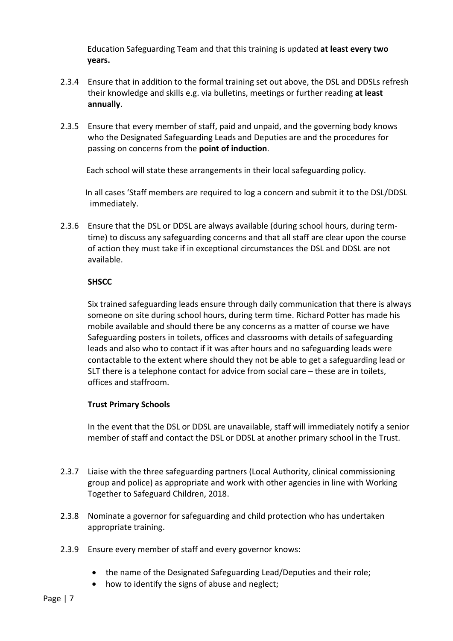Education Safeguarding Team and that this training is updated **at least every two years.**

- 2.3.4 Ensure that in addition to the formal training set out above, the DSL and DDSLs refresh their knowledge and skills e.g. via bulletins, meetings or further reading **at least annually**.
- 2.3.5 Ensure that every member of staff, paid and unpaid, and the governing body knows who the Designated Safeguarding Leads and Deputies are and the procedures for passing on concerns from the **point of induction**.

Each school will state these arrangements in their local safeguarding policy.

 In all cases 'Staff members are required to log a concern and submit it to the DSL/DDSL immediately.

2.3.6 Ensure that the DSL or DDSL are always available (during school hours, during termtime) to discuss any safeguarding concerns and that all staff are clear upon the course of action they must take if in exceptional circumstances the DSL and DDSL are not available.

#### **SHSCC**

Six trained safeguarding leads ensure through daily communication that there is always someone on site during school hours, during term time. Richard Potter has made his mobile available and should there be any concerns as a matter of course we have Safeguarding posters in toilets, offices and classrooms with details of safeguarding leads and also who to contact if it was after hours and no safeguarding leads were contactable to the extent where should they not be able to get a safeguarding lead or SLT there is a telephone contact for advice from social care – these are in toilets, offices and staffroom.

#### **Trust Primary Schools**

In the event that the DSL or DDSL are unavailable, staff will immediately notify a senior member of staff and contact the DSL or DDSL at another primary school in the Trust.

- 2.3.7 Liaise with the three safeguarding partners (Local Authority, clinical commissioning group and police) as appropriate and work with other agencies in line with Working Together to Safeguard Children, 2018.
- 2.3.8 Nominate a governor for safeguarding and child protection who has undertaken appropriate training.
- 2.3.9 Ensure every member of staff and every governor knows:
	- the name of the Designated Safeguarding Lead/Deputies and their role;
	- how to identify the signs of abuse and neglect;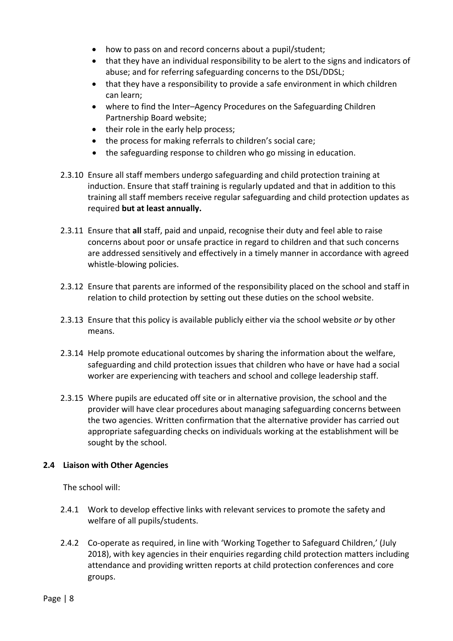- how to pass on and record concerns about a pupil/student;
- that they have an individual responsibility to be alert to the signs and indicators of abuse; and for referring safeguarding concerns to the DSL/DDSL;
- that they have a responsibility to provide a safe environment in which children can learn;
- where to find the Inter–Agency Procedures on the Safeguarding Children Partnership Board website;
- their role in the early help process;
- the process for making referrals to children's social care;
- the safeguarding response to children who go missing in education.
- 2.3.10 Ensure all staff members undergo safeguarding and child protection training at induction. Ensure that staff training is regularly updated and that in addition to this training all staff members receive regular safeguarding and child protection updates as required **but at least annually.**
- 2.3.11 Ensure that **all** staff, paid and unpaid, recognise their duty and feel able to raise concerns about poor or unsafe practice in regard to children and that such concerns are addressed sensitively and effectively in a timely manner in accordance with agreed whistle-blowing policies.
- 2.3.12 Ensure that parents are informed of the responsibility placed on the school and staff in relation to child protection by setting out these duties on the school website.
- 2.3.13 Ensure that this policy is available publicly either via the school website *or* by other means.
- 2.3.14 Help promote educational outcomes by sharing the information about the welfare, safeguarding and child protection issues that children who have or have had a social worker are experiencing with teachers and school and college leadership staff.
- 2.3.15 Where pupils are educated off site or in alternative provision, the school and the provider will have clear procedures about managing safeguarding concerns between the two agencies. Written confirmation that the alternative provider has carried out appropriate safeguarding checks on individuals working at the establishment will be sought by the school.

#### **2.4 Liaison with Other Agencies**

The school will:

- 2.4.1 Work to develop effective links with relevant services to promote the safety and welfare of all pupils/students.
- 2.4.2 Co-operate as required, in line with 'Working Together to Safeguard Children,' (July 2018), with key agencies in their enquiries regarding child protection matters including attendance and providing written reports at child protection conferences and core groups.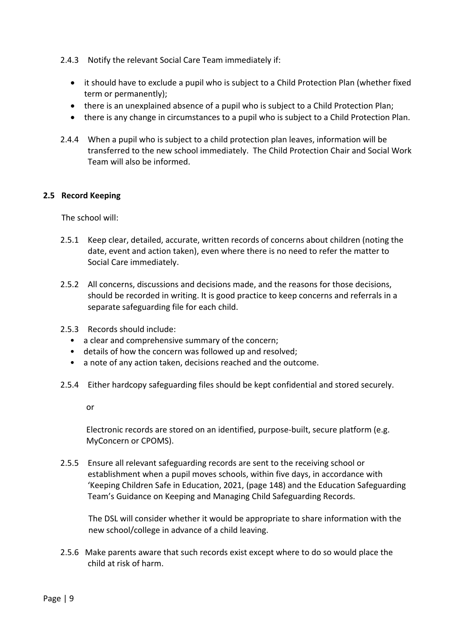- 2.4.3 Notify the relevant Social Care Team immediately if:
	- it should have to exclude a pupil who is subject to a Child Protection Plan (whether fixed term or permanently);
	- there is an unexplained absence of a pupil who is subject to a Child Protection Plan;
	- there is any change in circumstances to a pupil who is subject to a Child Protection Plan.
- 2.4.4 When a pupil who is subject to a child protection plan leaves, information will be transferred to the new school immediately. The Child Protection Chair and Social Work Team will also be informed.

#### **2.5 Record Keeping**

The school will:

- 2.5.1 Keep clear, detailed, accurate, written records of concerns about children (noting the date, event and action taken), even where there is no need to refer the matter to Social Care immediately.
- 2.5.2 All concerns, discussions and decisions made, and the reasons for those decisions, should be recorded in writing. It is good practice to keep concerns and referrals in a separate safeguarding file for each child.
- 2.5.3 Records should include:
	- a clear and comprehensive summary of the concern;
	- details of how the concern was followed up and resolved;
	- a note of any action taken, decisions reached and the outcome.
- 2.5.4 Either hardcopy safeguarding files should be kept confidential and stored securely.

or

Electronic records are stored on an identified, purpose-built, secure platform (e.g. MyConcern or CPOMS).

2.5.5 Ensure all relevant safeguarding records are sent to the receiving school or establishment when a pupil moves schools, within five days, in accordance with 'Keeping Children Safe in Education, 2021, (page 148) and the Education Safeguarding Team's Guidance on Keeping and Managing Child Safeguarding Records.

The DSL will consider whether it would be appropriate to share information with the new school/college in advance of a child leaving.

2.5.6 Make parents aware that such records exist except where to do so would place the child at risk of harm.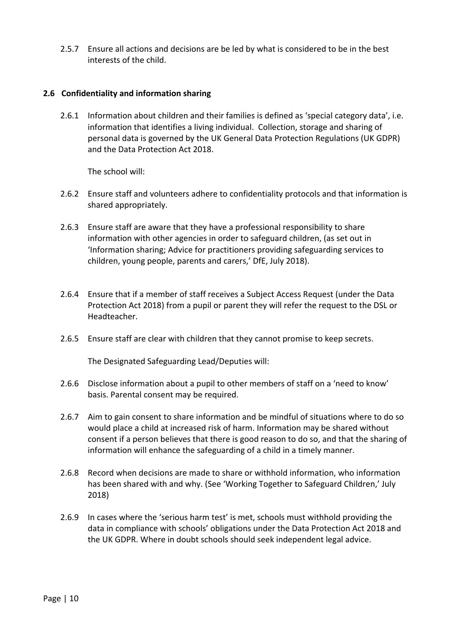2.5.7 Ensure all actions and decisions are be led by what is considered to be in the best interests of the child.

#### **2.6 Confidentiality and information sharing**

2.6.1 Information about children and their families is defined as 'special category data', i.e. information that identifies a living individual. Collection, storage and sharing of personal data is governed by the UK General Data Protection Regulations (UK GDPR) and the Data Protection Act 2018.

The school will:

- 2.6.2 Ensure staff and volunteers adhere to confidentiality protocols and that information is shared appropriately.
- 2.6.3 Ensure staff are aware that they have a professional responsibility to share information with other agencies in order to safeguard children, (as set out in 'Information sharing; Advice for practitioners providing safeguarding services to children, young people, parents and carers,' DfE, July 2018).
- 2.6.4 Ensure that if a member of staff receives a Subject Access Request (under the Data Protection Act 2018) from a pupil or parent they will refer the request to the DSL or Headteacher.
- 2.6.5 Ensure staff are clear with children that they cannot promise to keep secrets.

The Designated Safeguarding Lead/Deputies will:

- 2.6.6 Disclose information about a pupil to other members of staff on a 'need to know' basis. Parental consent may be required.
- 2.6.7 Aim to gain consent to share information and be mindful of situations where to do so would place a child at increased risk of harm. Information may be shared without consent if a person believes that there is good reason to do so, and that the sharing of information will enhance the safeguarding of a child in a timely manner.
- 2.6.8 Record when decisions are made to share or withhold information, who information has been shared with and why. (See 'Working Together to Safeguard Children,' July 2018)
- 2.6.9 In cases where the 'serious harm test' is met, schools must withhold providing the data in compliance with schools' obligations under the Data Protection Act 2018 and the UK GDPR. Where in doubt schools should seek independent legal advice.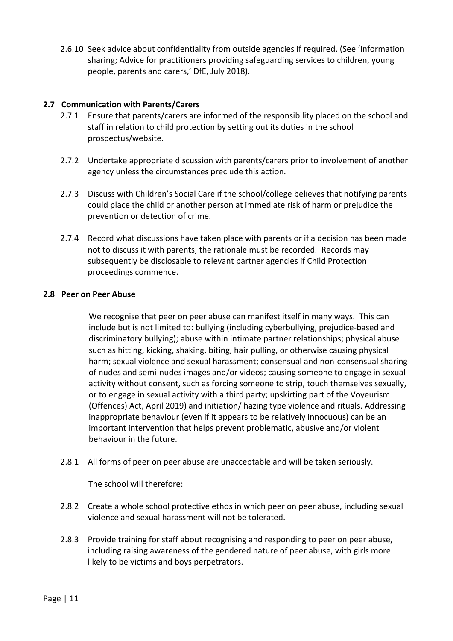2.6.10 Seek advice about confidentiality from outside agencies if required. (See 'Information sharing; Advice for practitioners providing safeguarding services to children, young people, parents and carers,' DfE, July 2018).

#### **2.7 Communication with Parents/Carers**

- 2.7.1 Ensure that parents/carers are informed of the responsibility placed on the school and staff in relation to child protection by setting out its duties in the school prospectus/website.
- 2.7.2 Undertake appropriate discussion with parents/carers prior to involvement of another agency unless the circumstances preclude this action.
- 2.7.3 Discuss with Children's Social Care if the school/college believes that notifying parents could place the child or another person at immediate risk of harm or prejudice the prevention or detection of crime.
- 2.7.4 Record what discussions have taken place with parents or if a decision has been made not to discuss it with parents, the rationale must be recorded. Records may subsequently be disclosable to relevant partner agencies if Child Protection proceedings commence.

#### **2.8 Peer on Peer Abuse**

We recognise that peer on peer abuse can manifest itself in many ways. This can include but is not limited to: bullying (including cyberbullying, prejudice-based and discriminatory bullying); abuse within intimate partner relationships; physical abuse such as hitting, kicking, shaking, biting, hair pulling, or otherwise causing physical harm; sexual violence and sexual harassment; consensual and non-consensual sharing of nudes and semi-nudes images and/or videos; causing someone to engage in sexual activity without consent, such as forcing someone to strip, touch themselves sexually, or to engage in sexual activity with a third party; upskirting part of the Voyeurism (Offences) Act, April 2019) and initiation/ hazing type violence and rituals. Addressing inappropriate behaviour (even if it appears to be relatively innocuous) can be an important intervention that helps prevent problematic, abusive and/or violent behaviour in the future.

2.8.1 All forms of peer on peer abuse are unacceptable and will be taken seriously.

The school will therefore:

- 2.8.2 Create a whole school protective ethos in which peer on peer abuse, including sexual violence and sexual harassment will not be tolerated.
- 2.8.3 Provide training for staff about recognising and responding to peer on peer abuse, including raising awareness of the gendered nature of peer abuse, with girls more likely to be victims and boys perpetrators.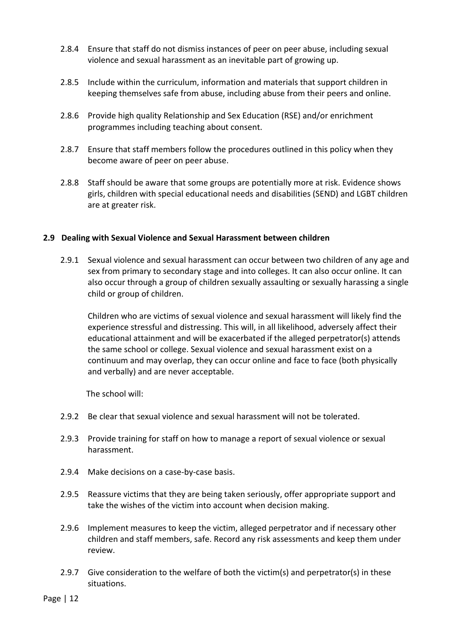- 2.8.4 Ensure that staff do not dismiss instances of peer on peer abuse, including sexual violence and sexual harassment as an inevitable part of growing up.
- 2.8.5 Include within the curriculum, information and materials that support children in keeping themselves safe from abuse, including abuse from their peers and online.
- 2.8.6 Provide high quality Relationship and Sex Education (RSE) and/or enrichment programmes including teaching about consent.
- 2.8.7 Ensure that staff members follow the procedures outlined in this policy when they become aware of peer on peer abuse.
- 2.8.8 Staff should be aware that some groups are potentially more at risk. Evidence shows girls, children with special educational needs and disabilities (SEND) and LGBT children are at greater risk.

#### **2.9 Dealing with Sexual Violence and Sexual Harassment between children**

2.9.1 Sexual violence and sexual harassment can occur between two children of any age and sex from primary to secondary stage and into colleges. It can also occur online. It can also occur through a group of children sexually assaulting or sexually harassing a single child or group of children.

Children who are victims of sexual violence and sexual harassment will likely find the experience stressful and distressing. This will, in all likelihood, adversely affect their educational attainment and will be exacerbated if the alleged perpetrator(s) attends the same school or college. Sexual violence and sexual harassment exist on a continuum and may overlap, they can occur online and face to face (both physically and verbally) and are never acceptable.

The school will:

- 2.9.2 Be clear that sexual violence and sexual harassment will not be tolerated.
- 2.9.3 Provide training for staff on how to manage a report of sexual violence or sexual harassment.
- 2.9.4 Make decisions on a case-by-case basis.
- 2.9.5 Reassure victims that they are being taken seriously, offer appropriate support and take the wishes of the victim into account when decision making.
- 2.9.6 Implement measures to keep the victim, alleged perpetrator and if necessary other children and staff members, safe. Record any risk assessments and keep them under review.
- 2.9.7 Give consideration to the welfare of both the victim(s) and perpetrator(s) in these situations.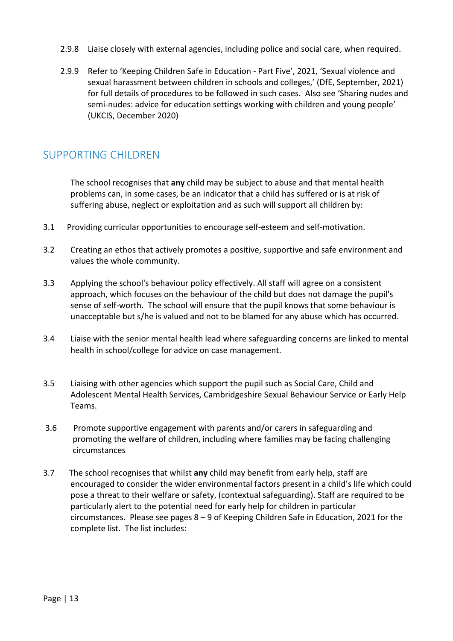- 2.9.8 Liaise closely with external agencies, including police and social care, when required.
- 2.9.9 Refer to 'Keeping Children Safe in Education Part Five', 2021, 'Sexual violence and sexual harassment between children in schools and colleges,' (DfE, September, 2021) for full details of procedures to be followed in such cases. Also see 'Sharing nudes and semi-nudes: advice for education settings working with children and young people' (UKCIS, December 2020)

### SUPPORTING CHILDREN

The school recognises that **any** child may be subject to abuse and that mental health problems can, in some cases, be an indicator that a child has suffered or is at risk of suffering abuse, neglect or exploitation and as such will support all children by:

- 3.1 Providing curricular opportunities to encourage self-esteem and self-motivation.
- 3.2 Creating an ethos that actively promotes a positive, supportive and safe environment and values the whole community.
- 3.3 Applying the school's behaviour policy effectively. All staff will agree on a consistent approach, which focuses on the behaviour of the child but does not damage the pupil's sense of self-worth. The school will ensure that the pupil knows that some behaviour is unacceptable but s/he is valued and not to be blamed for any abuse which has occurred.
- 3.4 Liaise with the senior mental health lead where safeguarding concerns are linked to mental health in school/college for advice on case management.
- 3.5 Liaising with other agencies which support the pupil such as Social Care, Child and Adolescent Mental Health Services, Cambridgeshire Sexual Behaviour Service or Early Help Teams.
- 3.6 Promote supportive engagement with parents and/or carers in safeguarding and promoting the welfare of children, including where families may be facing challenging circumstances
- 3.7 The school recognises that whilst **any** child may benefit from early help, staff are encouraged to consider the wider environmental factors present in a child's life which could pose a threat to their welfare or safety, (contextual safeguarding). Staff are required to be particularly alert to the potential need for early help for children in particular circumstances. Please see pages 8 – 9 of Keeping Children Safe in Education, 2021 for the complete list. The list includes: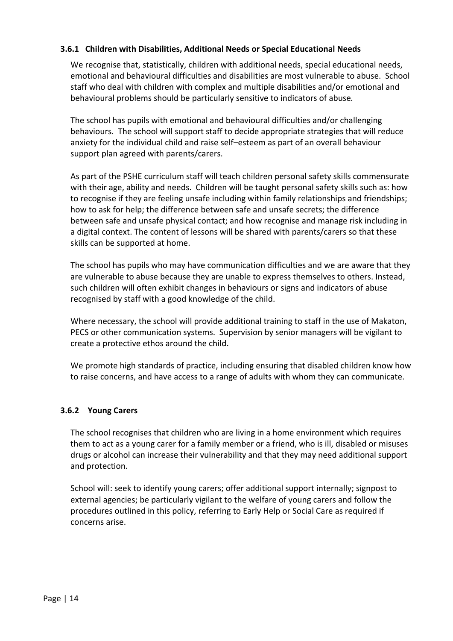#### **3.6.1 Children with Disabilities, Additional Needs or Special Educational Needs**

We recognise that, statistically, children with additional needs, special educational needs, emotional and behavioural difficulties and disabilities are most vulnerable to abuse. School staff who deal with children with complex and multiple disabilities and/or emotional and behavioural problems should be particularly sensitive to indicators of abuse*.* 

The school has pupils with emotional and behavioural difficulties and/or challenging behaviours. The school will support staff to decide appropriate strategies that will reduce anxiety for the individual child and raise self–esteem as part of an overall behaviour support plan agreed with parents/carers.

As part of the PSHE curriculum staff will teach children personal safety skills commensurate with their age, ability and needs. Children will be taught personal safety skills such as: how to recognise if they are feeling unsafe including within family relationships and friendships; how to ask for help; the difference between safe and unsafe secrets; the difference between safe and unsafe physical contact; and how recognise and manage risk including in a digital context. The content of lessons will be shared with parents/carers so that these skills can be supported at home.

The school has pupils who may have communication difficulties and we are aware that they are vulnerable to abuse because they are unable to express themselves to others. Instead, such children will often exhibit changes in behaviours or signs and indicators of abuse recognised by staff with a good knowledge of the child.

Where necessary, the school will provide additional training to staff in the use of Makaton, PECS or other communication systems. Supervision by senior managers will be vigilant to create a protective ethos around the child.

We promote high standards of practice, including ensuring that disabled children know how to raise concerns, and have access to a range of adults with whom they can communicate.

#### **3.6.2 Young Carers**

The school recognises that children who are living in a home environment which requires them to act as a young carer for a family member or a friend, who is ill, disabled or misuses drugs or alcohol can increase their vulnerability and that they may need additional support and protection.

School will: seek to identify young carers; offer additional support internally; signpost to external agencies; be particularly vigilant to the welfare of young carers and follow the procedures outlined in this policy, referring to Early Help or Social Care as required if concerns arise.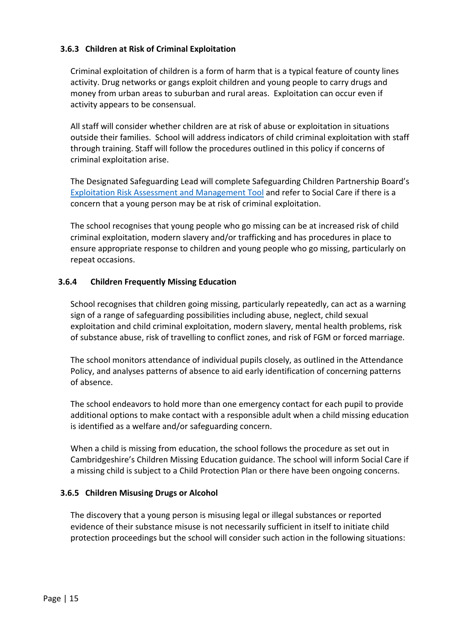#### **3.6.3 Children at Risk of Criminal Exploitation**

Criminal exploitation of children is a form of harm that is a typical feature of county lines activity. Drug networks or gangs exploit children and young people to carry drugs and money from urban areas to suburban and rural areas. Exploitation can occur even if activity appears to be consensual.

All staff will consider whether children are at risk of abuse or exploitation in situations outside their families. School will address indicators of child criminal exploitation with staff through training. Staff will follow the procedures outlined in this policy if concerns of criminal exploitation arise.

The Designated Safeguarding Lead will complete Safeguarding Children Partnership Board's [Exploitation Risk Assessment and Management Tool](http://www.safeguardingcambspeterborough.org.uk/wp-content/uploads/2018/05/Exploitation-CSECCE-Risk-Assessment-Tool.docx) and refer to Social Care if there is a concern that a young person may be at risk of criminal exploitation.

The school recognises that young people who go missing can be at increased risk of child criminal exploitation, modern slavery and/or trafficking and has procedures in place to ensure appropriate response to children and young people who go missing, particularly on repeat occasions.

#### **3.6.4 Children Frequently Missing Education**

School recognises that children going missing, particularly repeatedly, can act as a warning sign of a range of safeguarding possibilities including abuse, neglect, child sexual exploitation and child criminal exploitation, modern slavery, mental health problems, risk of substance abuse, risk of travelling to conflict zones, and risk of FGM or forced marriage.

The school monitors attendance of individual pupils closely, as outlined in the Attendance Policy, and analyses patterns of absence to aid early identification of concerning patterns of absence.

The school endeavors to hold more than one emergency contact for each pupil to provide additional options to make contact with a responsible adult when a child missing education is identified as a welfare and/or safeguarding concern.

When a child is missing from education, the school follows the procedure as set out in Cambridgeshire's Children Missing Education guidance. The school will inform Social Care if a missing child is subject to a Child Protection Plan or there have been ongoing concerns.

#### **3.6.5 Children Misusing Drugs or Alcohol**

The discovery that a young person is misusing legal or illegal substances or reported evidence of their substance misuse is not necessarily sufficient in itself to initiate child protection proceedings but the school will consider such action in the following situations: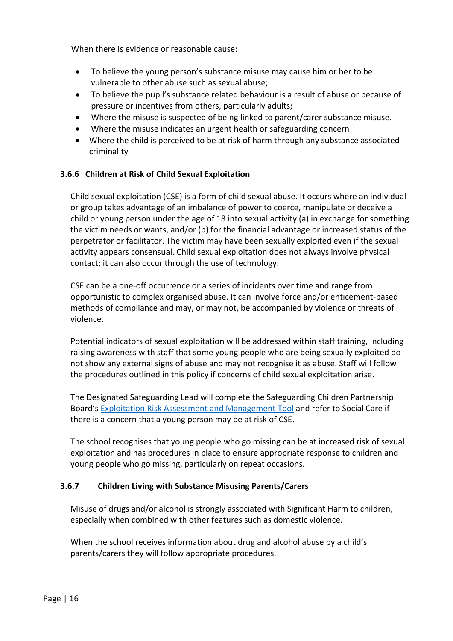When there is evidence or reasonable cause:

- To believe the young person's substance misuse may cause him or her to be vulnerable to other abuse such as sexual abuse;
- To believe the pupil's substance related behaviour is a result of abuse or because of pressure or incentives from others, particularly adults;
- Where the misuse is suspected of being linked to parent/carer substance misuse.
- Where the misuse indicates an urgent health or safeguarding concern
- Where the child is perceived to be at risk of harm through any substance associated criminality

#### **3.6.6 Children at Risk of Child Sexual Exploitation**

Child sexual exploitation (CSE) is a form of child sexual abuse. It occurs where an individual or group takes advantage of an imbalance of power to coerce, manipulate or deceive a child or young person under the age of 18 into sexual activity (a) in exchange for something the victim needs or wants, and/or (b) for the financial advantage or increased status of the perpetrator or facilitator. The victim may have been sexually exploited even if the sexual activity appears consensual. Child sexual exploitation does not always involve physical contact; it can also occur through the use of technology.

CSE can be a one-off occurrence or a series of incidents over time and range from opportunistic to complex organised abuse. It can involve force and/or enticement-based methods of compliance and may, or may not, be accompanied by violence or threats of violence.

Potential indicators of sexual exploitation will be addressed within staff training, including raising awareness with staff that some young people who are being sexually exploited do not show any external signs of abuse and may not recognise it as abuse. Staff will follow the procedures outlined in this policy if concerns of child sexual exploitation arise.

The Designated Safeguarding Lead will complete the Safeguarding Children Partnership Board's [Exploitation Risk Assessment and Management Tool](http://www.safeguardingcambspeterborough.org.uk/wp-content/uploads/2018/05/Exploitation-CSECCE-Risk-Assessment-Tool.docx) and refer to Social Care if there is a concern that a young person may be at risk of CSE.

The school recognises that young people who go missing can be at increased risk of sexual exploitation and has procedures in place to ensure appropriate response to children and young people who go missing, particularly on repeat occasions.

#### **3.6.7 Children Living with Substance Misusing Parents/Carers**

Misuse of drugs and/or alcohol is strongly associated with Significant Harm to children, especially when combined with other features such as domestic violence.

When the school receives information about drug and alcohol abuse by a child's parents/carers they will follow appropriate procedures.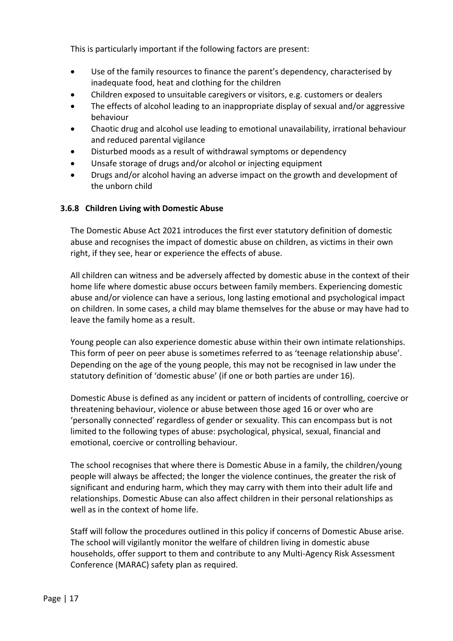This is particularly important if the following factors are present:

- Use of the family resources to finance the parent's dependency, characterised by inadequate food, heat and clothing for the children
- Children exposed to unsuitable caregivers or visitors, e.g. customers or dealers
- The effects of alcohol leading to an inappropriate display of sexual and/or aggressive behaviour
- Chaotic drug and alcohol use leading to emotional unavailability, irrational behaviour and reduced parental vigilance
- Disturbed moods as a result of withdrawal symptoms or dependency
- Unsafe storage of drugs and/or alcohol or injecting equipment
- Drugs and/or alcohol having an adverse impact on the growth and development of the unborn child

#### **3.6.8 Children Living with Domestic Abuse**

The Domestic Abuse Act 2021 introduces the first ever statutory definition of domestic abuse and recognises the impact of domestic abuse on children, as victims in their own right, if they see, hear or experience the effects of abuse.

All children can witness and be adversely affected by domestic abuse in the context of their home life where domestic abuse occurs between family members. Experiencing domestic abuse and/or violence can have a serious, long lasting emotional and psychological impact on children. In some cases, a child may blame themselves for the abuse or may have had to leave the family home as a result.

Young people can also experience domestic abuse within their own intimate relationships. This form of peer on peer abuse is sometimes referred to as 'teenage relationship abuse'. Depending on the age of the young people, this may not be recognised in law under the statutory definition of 'domestic abuse' (if one or both parties are under 16).

Domestic Abuse is defined as any incident or pattern of incidents of controlling, coercive or threatening behaviour, violence or abuse between those aged 16 or over who are 'personally connected' regardless of gender or sexuality. This can encompass but is not limited to the following types of abuse: psychological, physical, sexual, financial and emotional, coercive or controlling behaviour.

The school recognises that where there is Domestic Abuse in a family, the children/young people will always be affected; the longer the violence continues, the greater the risk of significant and enduring harm, which they may carry with them into their adult life and relationships. Domestic Abuse can also affect children in their personal relationships as well as in the context of home life.

Staff will follow the procedures outlined in this policy if concerns of Domestic Abuse arise. The school will vigilantly monitor the welfare of children living in domestic abuse households, offer support to them and contribute to any Multi-Agency Risk Assessment Conference (MARAC) safety plan as required.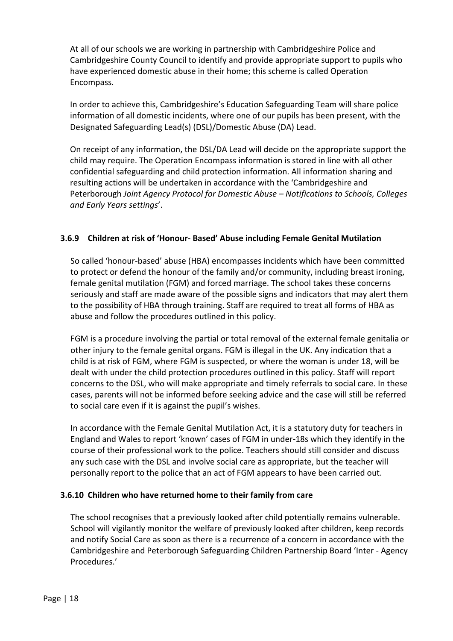At all of our schools we are working in partnership with Cambridgeshire Police and Cambridgeshire County Council to identify and provide appropriate support to pupils who have experienced domestic abuse in their home; this scheme is called Operation Encompass.

In order to achieve this, Cambridgeshire's Education Safeguarding Team will share police information of all domestic incidents, where one of our pupils has been present, with the Designated Safeguarding Lead(s) (DSL)/Domestic Abuse (DA) Lead.

On receipt of any information, the DSL/DA Lead will decide on the appropriate support the child may require. The Operation Encompass information is stored in line with all other confidential safeguarding and child protection information. All information sharing and resulting actions will be undertaken in accordance with the 'Cambridgeshire and Peterborough *Joint Agency Protocol for Domestic Abuse – Notifications to Schools, Colleges and Early Years settings*'.

#### **3.6.9 Children at risk of 'Honour- Based' Abuse including Female Genital Mutilation**

So called 'honour-based' abuse (HBA) encompasses incidents which have been committed to protect or defend the honour of the family and/or community, including breast ironing, female genital mutilation (FGM) and forced marriage. The school takes these concerns seriously and staff are made aware of the possible signs and indicators that may alert them to the possibility of HBA through training. Staff are required to treat all forms of HBA as abuse and follow the procedures outlined in this policy.

FGM is a procedure involving the partial or total removal of the external female genitalia or other injury to the female genital organs. FGM is illegal in the UK. Any indication that a child is at risk of FGM, where FGM is suspected, or where the woman is under 18, will be dealt with under the child protection procedures outlined in this policy. Staff will report concerns to the DSL, who will make appropriate and timely referrals to social care. In these cases, parents will not be informed before seeking advice and the case will still be referred to social care even if it is against the pupil's wishes.

In accordance with the Female Genital Mutilation Act, it is a statutory duty for teachers in England and Wales to report 'known' cases of FGM in under-18s which they identify in the course of their professional work to the police. Teachers should still consider and discuss any such case with the DSL and involve social care as appropriate, but the teacher will personally report to the police that an act of FGM appears to have been carried out.

#### **3.6.10 Children who have returned home to their family from care**

The school recognises that a previously looked after child potentially remains vulnerable. School will vigilantly monitor the welfare of previously looked after children, keep records and notify Social Care as soon as there is a recurrence of a concern in accordance with the Cambridgeshire and Peterborough Safeguarding Children Partnership Board 'Inter - Agency Procedures.'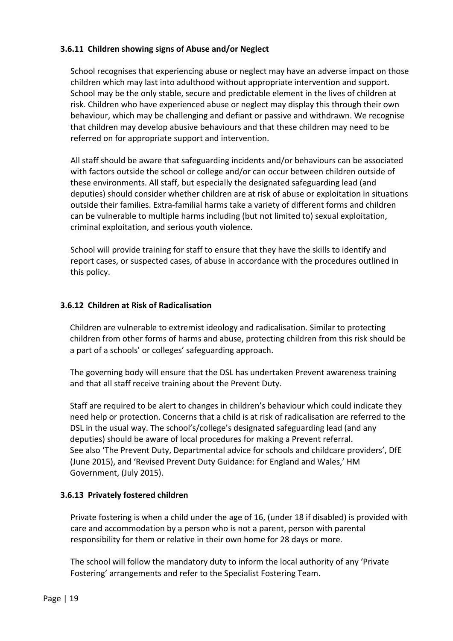#### **3.6.11 Children showing signs of Abuse and/or Neglect**

School recognises that experiencing abuse or neglect may have an adverse impact on those children which may last into adulthood without appropriate intervention and support. School may be the only stable, secure and predictable element in the lives of children at risk. Children who have experienced abuse or neglect may display this through their own behaviour, which may be challenging and defiant or passive and withdrawn. We recognise that children may develop abusive behaviours and that these children may need to be referred on for appropriate support and intervention.

All staff should be aware that safeguarding incidents and/or behaviours can be associated with factors outside the school or college and/or can occur between children outside of these environments. All staff, but especially the designated safeguarding lead (and deputies) should consider whether children are at risk of abuse or exploitation in situations outside their families. Extra-familial harms take a variety of different forms and children can be vulnerable to multiple harms including (but not limited to) sexual exploitation, criminal exploitation, and serious youth violence.

School will provide training for staff to ensure that they have the skills to identify and report cases, or suspected cases, of abuse in accordance with the procedures outlined in this policy.

#### **3.6.12 Children at Risk of Radicalisation**

Children are vulnerable to extremist ideology and radicalisation. Similar to protecting children from other forms of harms and abuse, protecting children from this risk should be a part of a schools' or colleges' safeguarding approach.

The governing body will ensure that the DSL has undertaken Prevent awareness training and that all staff receive training about the Prevent Duty.

Staff are required to be alert to changes in children's behaviour which could indicate they need help or protection. Concerns that a child is at risk of radicalisation are referred to the DSL in the usual way. The school's/college's designated safeguarding lead (and any deputies) should be aware of local procedures for making a Prevent referral. See also 'The Prevent Duty, Departmental advice for schools and childcare providers', DfE (June 2015), and 'Revised Prevent Duty Guidance: for England and Wales,' HM Government, (July 2015).

#### **3.6.13 Privately fostered children**

Private fostering is when a child under the age of 16, (under 18 if disabled) is provided with care and accommodation by a person who is not a parent, person with parental responsibility for them or relative in their own home for 28 days or more.

The school will follow the mandatory duty to inform the local authority of any 'Private Fostering' arrangements and refer to the Specialist Fostering Team.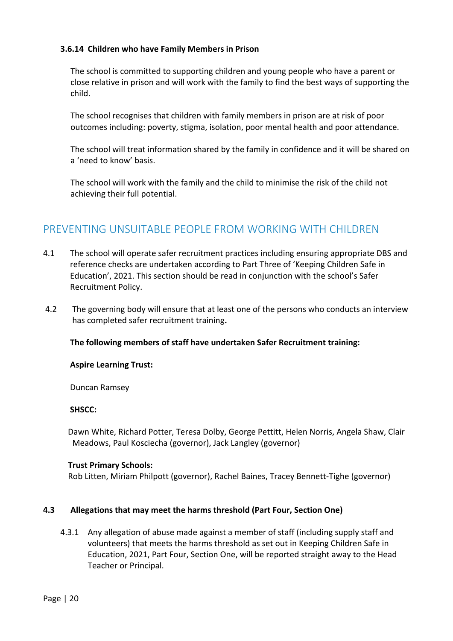#### **3.6.14 Children who have Family Members in Prison**

The school is committed to supporting children and young people who have a parent or close relative in prison and will work with the family to find the best ways of supporting the child.

The school recognises that children with family members in prison are at risk of poor outcomes including: poverty, stigma, isolation, poor mental health and poor attendance.

The school will treat information shared by the family in confidence and it will be shared on a 'need to know' basis.

The school will work with the family and the child to minimise the risk of the child not achieving their full potential.

### PREVENTING UNSUITABLE PEOPLE FROM WORKING WITH CHILDREN

- 4.1 The school will operate safer recruitment practices including ensuring appropriate DBS and reference checks are undertaken according to Part Three of 'Keeping Children Safe in Education', 2021. This section should be read in conjunction with the school's Safer Recruitment Policy.
- 4.2 The governing body will ensure that at least one of the persons who conducts an interview has completed safer recruitment training**.**

#### **The following members of staff have undertaken Safer Recruitment training:**

#### **Aspire Learning Trust:**

Duncan Ramsey

#### **SHSCC:**

 Dawn White, Richard Potter, Teresa Dolby, George Pettitt, Helen Norris, Angela Shaw, Clair Meadows, Paul Kosciecha (governor), Jack Langley (governor)

#### **Trust Primary Schools:**

Rob Litten, Miriam Philpott (governor), Rachel Baines, Tracey Bennett-Tighe (governor)

#### **4.3 Allegations that may meet the harms threshold (Part Four, Section One)**

4.3.1 Any allegation of abuse made against a member of staff (including supply staff and volunteers) that meets the harms threshold as set out in Keeping Children Safe in Education, 2021, Part Four, Section One, will be reported straight away to the Head Teacher or Principal.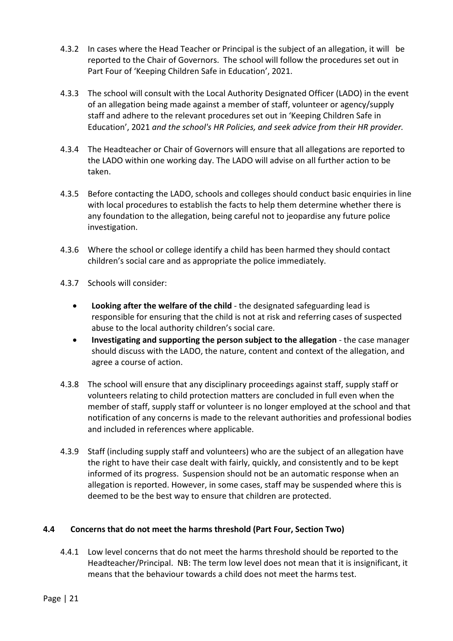- 4.3.2 In cases where the Head Teacher or Principal is the subject of an allegation, it will be reported to the Chair of Governors. The school will follow the procedures set out in Part Four of 'Keeping Children Safe in Education', 2021.
- 4.3.3 The school will consult with the Local Authority Designated Officer (LADO) in the event of an allegation being made against a member of staff, volunteer or agency/supply staff and adhere to the relevant procedures set out in 'Keeping Children Safe in Education', 2021 *and the school's HR Policies, and seek advice from their HR provider.*
- 4.3.4 The Headteacher or Chair of Governors will ensure that all allegations are reported to the LADO within one working day. The LADO will advise on all further action to be taken.
- 4.3.5 Before contacting the LADO, schools and colleges should conduct basic enquiries in line with local procedures to establish the facts to help them determine whether there is any foundation to the allegation, being careful not to jeopardise any future police investigation.
- 4.3.6 Where the school or college identify a child has been harmed they should contact children's social care and as appropriate the police immediately.
- 4.3.7 Schools will consider:
	- **Looking after the welfare of the child** the designated safeguarding lead is responsible for ensuring that the child is not at risk and referring cases of suspected abuse to the local authority children's social care.
	- **Investigating and supporting the person subject to the allegation** the case manager should discuss with the LADO, the nature, content and context of the allegation, and agree a course of action.
- 4.3.8 The school will ensure that any disciplinary proceedings against staff, supply staff or volunteers relating to child protection matters are concluded in full even when the member of staff, supply staff or volunteer is no longer employed at the school and that notification of any concerns is made to the relevant authorities and professional bodies and included in references where applicable.
- 4.3.9 Staff (including supply staff and volunteers) who are the subject of an allegation have the right to have their case dealt with fairly, quickly, and consistently and to be kept informed of its progress. Suspension should not be an automatic response when an allegation is reported. However, in some cases, staff may be suspended where this is deemed to be the best way to ensure that children are protected.

#### **4.4 Concerns that do not meet the harms threshold (Part Four, Section Two)**

4.4.1 Low level concerns that do not meet the harms threshold should be reported to the Headteacher/Principal. NB: The term low level does not mean that it is insignificant, it means that the behaviour towards a child does not meet the harms test.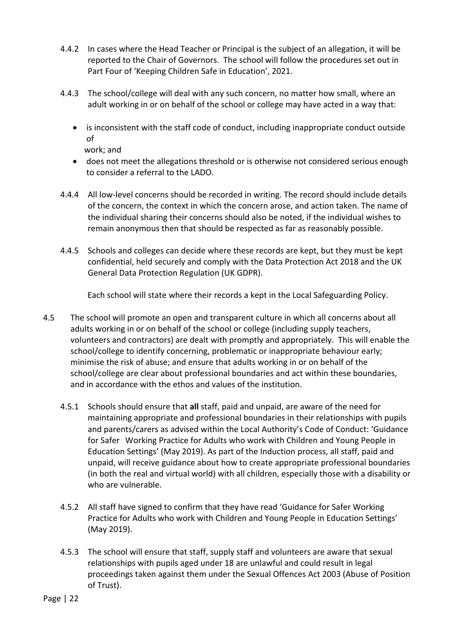- 4.4.2 In cases where the Head Teacher or Principal is the subject of an allegation, it will be reported to the Chair of Governors. The school will follow the procedures set out in Part Four of 'Keeping Children Safe in Education', 2021.
- 4.4.3 The school/college will deal with any such concern, no matter how small, where an adult working in or on behalf of the school or college may have acted in a way that:
	- is inconsistent with the staff code of conduct, including inappropriate conduct outside of

work; and

- does not meet the allegations threshold or is otherwise not considered serious enough to consider a referral to the LADO.
- 4.4.4 All low-level concerns should be recorded in writing. The record should include details of the concern, the context in which the concern arose, and action taken. The name of the individual sharing their concerns should also be noted, if the individual wishes to remain anonymous then that should be respected as far as reasonably possible.
- 4.4.5 Schools and colleges can decide where these records are kept, but they must be kept confidential, held securely and comply with the Data Protection Act 2018 and the UK General Data Protection Regulation (UK GDPR).

Each school will state where their records a kept in the Local Safeguarding Policy.

- 4.5 The school will promote an open and transparent culture in which all concerns about all adults working in or on behalf of the school or college (including supply teachers, volunteers and contractors) are dealt with promptly and appropriately. This will enable the school/college to identify concerning, problematic or inappropriate behaviour early; minimise the risk of abuse; and ensure that adults working in or on behalf of the school/college are clear about professional boundaries and act within these boundaries, and in accordance with the ethos and values of the institution.
	- 4.5.1 Schools should ensure that **all** staff, paid and unpaid, are aware of the need for maintaining appropriate and professional boundaries in their relationships with pupils and parents/carers as advised within the Local Authority's Code of Conduct: 'Guidance for Safer Working Practice for Adults who work with Children and Young People in Education Settings' (May 2019). As part of the Induction process, all staff, paid and unpaid, will receive guidance about how to create appropriate professional boundaries (in both the real and virtual world) with all children, especially those with a disability or who are vulnerable.
	- 4.5.2 All staff have signed to confirm that they have read 'Guidance for Safer Working Practice for Adults who work with Children and Young People in Education Settings' (May 2019).
	- 4.5.3 The school will ensure that staff, supply staff and volunteers are aware that sexual relationships with pupils aged under 18 are unlawful and could result in legal proceedings taken against them under the Sexual Offences Act 2003 (Abuse of Position of Trust).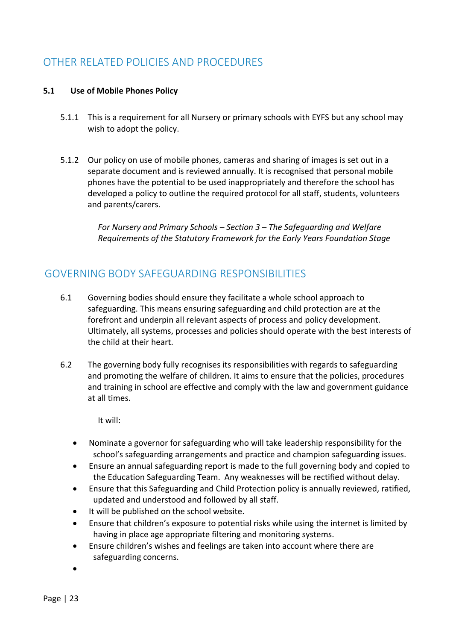## OTHER RELATED POLICIES AND PROCEDURES

#### **5.1 Use of Mobile Phones Policy**

- 5.1.1 This is a requirement for all Nursery or primary schools with EYFS but any school may wish to adopt the policy.
- 5.1.2 Our policy on use of mobile phones, cameras and sharing of images is set out in a separate document and is reviewed annually. It is recognised that personal mobile phones have the potential to be used inappropriately and therefore the school has developed a policy to outline the required protocol for all staff, students, volunteers and parents/carers.

*For Nursery and Primary Schools – Section 3 – The Safeguarding and Welfare Requirements of the Statutory Framework for the Early Years Foundation Stage*

### GOVERNING BODY SAFEGUARDING RESPONSIBILITIES

- 6.1 Governing bodies should ensure they facilitate a whole school approach to safeguarding. This means ensuring safeguarding and child protection are at the forefront and underpin all relevant aspects of process and policy development. Ultimately, all systems, processes and policies should operate with the best interests of the child at their heart.
- 6.2 The governing body fully recognises its responsibilities with regards to safeguarding and promoting the welfare of children. It aims to ensure that the policies, procedures and training in school are effective and comply with the law and government guidance at all times.

It will:

- Nominate a governor for safeguarding who will take leadership responsibility for the school's safeguarding arrangements and practice and champion safeguarding issues.
- Ensure an annual safeguarding report is made to the full governing body and copied to the Education Safeguarding Team. Any weaknesses will be rectified without delay.
- Ensure that this Safeguarding and Child Protection policy is annually reviewed, ratified, updated and understood and followed by all staff.
- It will be published on the school website.
- Ensure that children's exposure to potential risks while using the internet is limited by having in place age appropriate filtering and monitoring systems.
- Ensure children's wishes and feelings are taken into account where there are safeguarding concerns.

•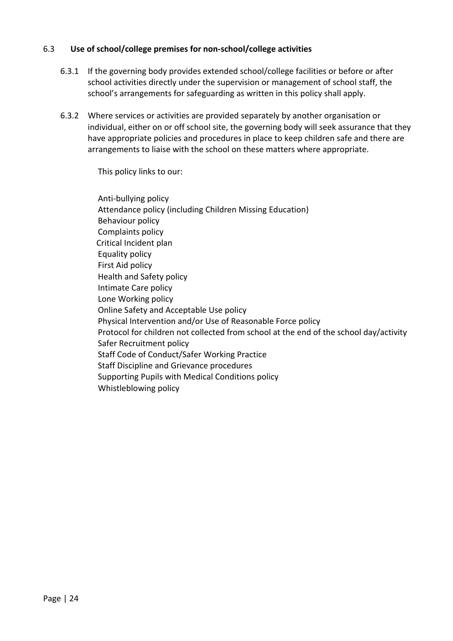#### 6.3 **Use of school/college premises for non-school/college activities**

- 6.3.1 If the governing body provides extended school/college facilities or before or after school activities directly under the supervision or management of school staff, the school's arrangements for safeguarding as written in this policy shall apply.
- 6.3.2 Where services or activities are provided separately by another organisation or individual, either on or off school site, the governing body will seek assurance that they have appropriate policies and procedures in place to keep children safe and there are arrangements to liaise with the school on these matters where appropriate.

This policy links to our:

Anti-bullying policy Attendance policy (including Children Missing Education) Behaviour policy Complaints policy Critical Incident plan Equality policy First Aid policy Health and Safety policy Intimate Care policy Lone Working policy Online Safety and Acceptable Use policy Physical Intervention and/or Use of Reasonable Force policy Protocol for children not collected from school at the end of the school day/activity Safer Recruitment policy Staff Code of Conduct/Safer Working Practice Staff Discipline and Grievance procedures Supporting Pupils with Medical Conditions policy Whistleblowing policy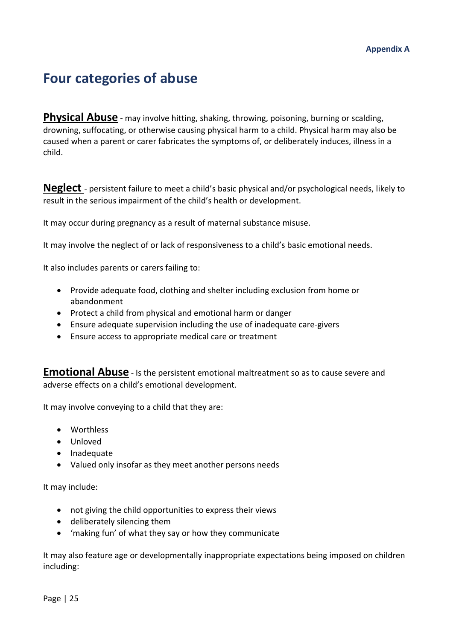# **Four categories of abuse**

**Physical Abuse** - may involve hitting, shaking, throwing, poisoning, burning or scalding, drowning, suffocating, or otherwise causing physical harm to a child. Physical harm may also be caused when a parent or carer fabricates the symptoms of, or deliberately induces, illness in a child.

**Neglect** - persistent failure to meet a child's basic physical and/or psychological needs, likely to result in the serious impairment of the child's health or development.

It may occur during pregnancy as a result of maternal substance misuse.

It may involve the neglect of or lack of responsiveness to a child's basic emotional needs.

It also includes parents or carers failing to:

- Provide adequate food, clothing and shelter including exclusion from home or abandonment
- Protect a child from physical and emotional harm or danger
- Ensure adequate supervision including the use of inadequate care-givers
- Ensure access to appropriate medical care or treatment

**Emotional Abuse** - Is the persistent emotional maltreatment so as to cause severe and adverse effects on a child's emotional development.

It may involve conveying to a child that they are:

- Worthless
- Unloved
- Inadequate
- Valued only insofar as they meet another persons needs

It may include:

- not giving the child opportunities to express their views
- deliberately silencing them
- 'making fun' of what they say or how they communicate

It may also feature age or developmentally inappropriate expectations being imposed on children including: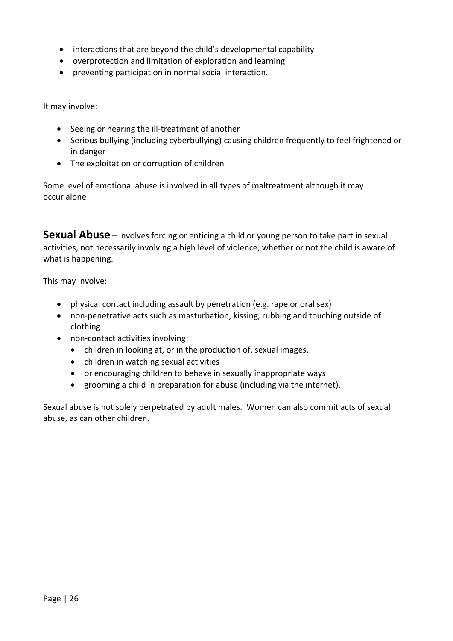- interactions that are beyond the child's developmental capability
- overprotection and limitation of exploration and learning
- preventing participation in normal social interaction.

It may involve:

- Seeing or hearing the ill-treatment of another
- Serious bullying (including cyberbullying) causing children frequently to feel frightened or in danger
- The exploitation or corruption of children

Some level of emotional abuse is involved in all types of maltreatment although it may occur alone

**Sexual Abuse** – involves forcing or enticing a child or young person to take part in sexual activities, not necessarily involving a high level of violence, whether or not the child is aware of what is happening.

This may involve:

- physical contact including assault by penetration (e.g. rape or oral sex)
- non-penetrative acts such as masturbation, kissing, rubbing and touching outside of clothing
- non-contact activities involving:
	- children in looking at, or in the production of, sexual images,
	- children in watching sexual activities
	- or encouraging children to behave in sexually inappropriate ways
	- grooming a child in preparation for abuse (including via the internet).

Sexual abuse is not solely perpetrated by adult males. Women can also commit acts of sexual abuse, as can other children.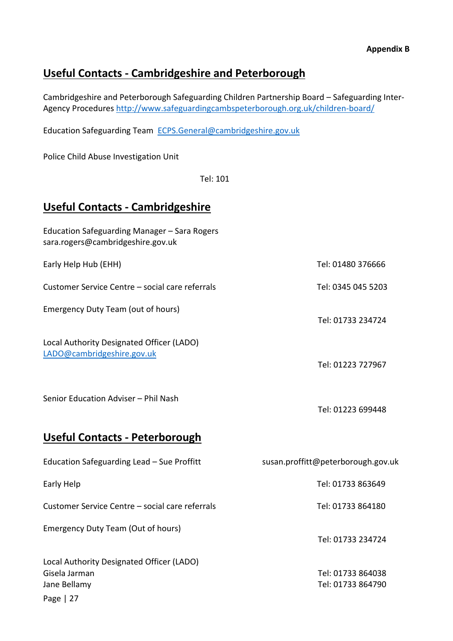## **Useful Contacts - Cambridgeshire and Peterborough**

Cambridgeshire and Peterborough Safeguarding Children Partnership Board – Safeguarding Inter-Agency Procedure[s http://www.safeguardingcambspeterborough.org.uk/children-board/](http://www.safeguardingcambspeterborough.org.uk/children-board/)

Education Safeguarding Team [ECPS.General@cambridgeshire.gov.uk](mailto:ECPS.General@cambridgeshire.gov.uk)

Police Child Abuse Investigation Unit

Tel: 101

## **Useful Contacts - Cambridgeshire**

| Education Safeguarding Manager - Sara Rogers<br>sara.rogers@cambridgeshire.gov.uk       |                                        |
|-----------------------------------------------------------------------------------------|----------------------------------------|
| Early Help Hub (EHH)                                                                    | Tel: 01480 376666                      |
| Customer Service Centre - social care referrals                                         | Tel: 0345 045 5203                     |
| Emergency Duty Team (out of hours)                                                      | Tel: 01733 234724                      |
| Local Authority Designated Officer (LADO)<br>LADO@cambridgeshire.gov.uk                 | Tel: 01223 727967                      |
| Senior Education Adviser - Phil Nash                                                    | Tel: 01223 699448                      |
| Useful Contacts - Peterborough                                                          |                                        |
| Education Safeguarding Lead - Sue Proffitt                                              | susan.proffitt@peterborough.gov.uk     |
| Early Help                                                                              | Tel: 01733 863649                      |
| Customer Service Centre - social care referrals                                         | Tel: 01733 864180                      |
| Emergency Duty Team (Out of hours)                                                      | Tel: 01733 234724                      |
| Local Authority Designated Officer (LADO)<br>Gisela Jarman<br>Jane Bellamy<br>Page   27 | Tel: 01733 864038<br>Tel: 01733 864790 |